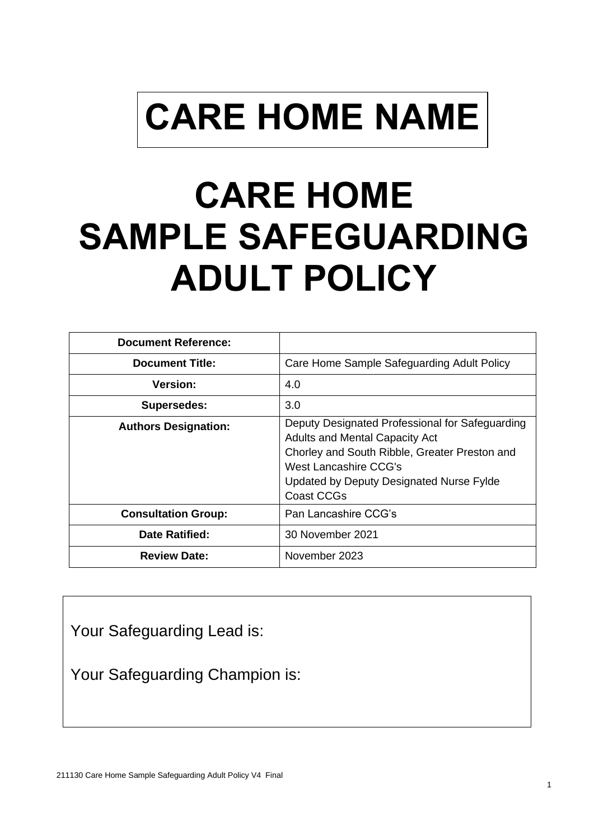# **CARE HOME NAME**

# **CARE HOME SAMPLE SAFEGUARDING ADULT POLICY**

| <b>Document Reference:</b>  |                                                                                                                                                                                                                              |
|-----------------------------|------------------------------------------------------------------------------------------------------------------------------------------------------------------------------------------------------------------------------|
| <b>Document Title:</b>      | Care Home Sample Safeguarding Adult Policy                                                                                                                                                                                   |
| <b>Version:</b>             | 4.0                                                                                                                                                                                                                          |
| <b>Supersedes:</b>          | 3.0                                                                                                                                                                                                                          |
| <b>Authors Designation:</b> | Deputy Designated Professional for Safeguarding<br><b>Adults and Mental Capacity Act</b><br>Chorley and South Ribble, Greater Preston and<br>West Lancashire CCG's<br>Updated by Deputy Designated Nurse Fylde<br>Coast CCGs |
| <b>Consultation Group:</b>  | Pan Lancashire CCG's                                                                                                                                                                                                         |
| <b>Date Ratified:</b>       | 30 November 2021                                                                                                                                                                                                             |
| <b>Review Date:</b>         | November 2023                                                                                                                                                                                                                |

Your Safeguarding Lead is:

Your Safeguarding Champion is: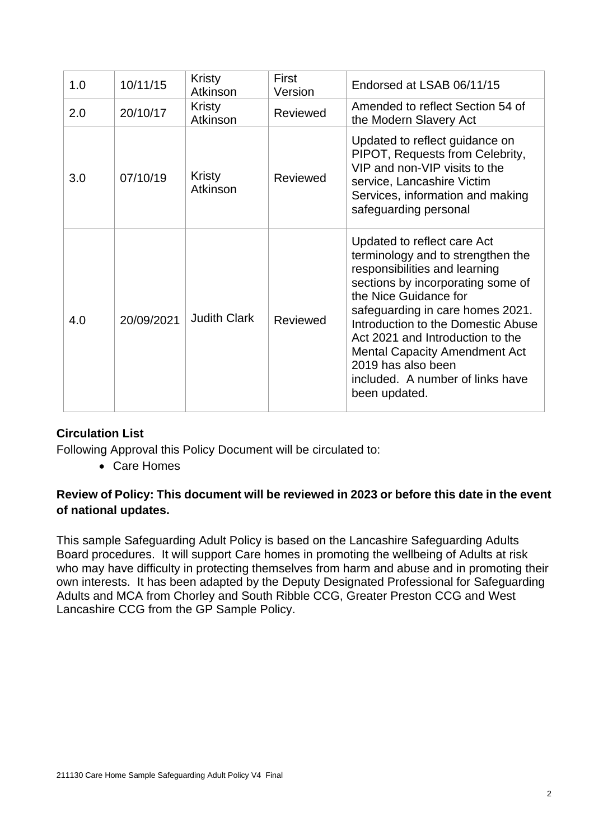| 1.0 | 10/11/15   | Kristy<br>Atkinson  | First<br>Version | Endorsed at LSAB 06/11/15                                                                                                                                                                                                                                                                                                                                                                        |
|-----|------------|---------------------|------------------|--------------------------------------------------------------------------------------------------------------------------------------------------------------------------------------------------------------------------------------------------------------------------------------------------------------------------------------------------------------------------------------------------|
| 2.0 | 20/10/17   | Kristy<br>Atkinson  | Reviewed         | Amended to reflect Section 54 of<br>the Modern Slavery Act                                                                                                                                                                                                                                                                                                                                       |
| 3.0 | 07/10/19   | Kristy<br>Atkinson  | Reviewed         | Updated to reflect guidance on<br>PIPOT, Requests from Celebrity,<br>VIP and non-VIP visits to the<br>service, Lancashire Victim<br>Services, information and making<br>safeguarding personal                                                                                                                                                                                                    |
| 4.0 | 20/09/2021 | <b>Judith Clark</b> | Reviewed         | Updated to reflect care Act<br>terminology and to strengthen the<br>responsibilities and learning<br>sections by incorporating some of<br>the Nice Guidance for<br>safeguarding in care homes 2021.<br>Introduction to the Domestic Abuse<br>Act 2021 and Introduction to the<br><b>Mental Capacity Amendment Act</b><br>2019 has also been<br>included. A number of links have<br>been updated. |

#### **Circulation List**

Following Approval this Policy Document will be circulated to:

• Care Homes

#### **Review of Policy: This document will be reviewed in 2023 or before this date in the event of national updates.**

This sample Safeguarding Adult Policy is based on the Lancashire Safeguarding Adults Board procedures. It will support Care homes in promoting the wellbeing of Adults at risk who may have difficulty in protecting themselves from harm and abuse and in promoting their own interests. It has been adapted by the Deputy Designated Professional for Safeguarding Adults and MCA from Chorley and South Ribble CCG, Greater Preston CCG and West Lancashire CCG from the GP Sample Policy.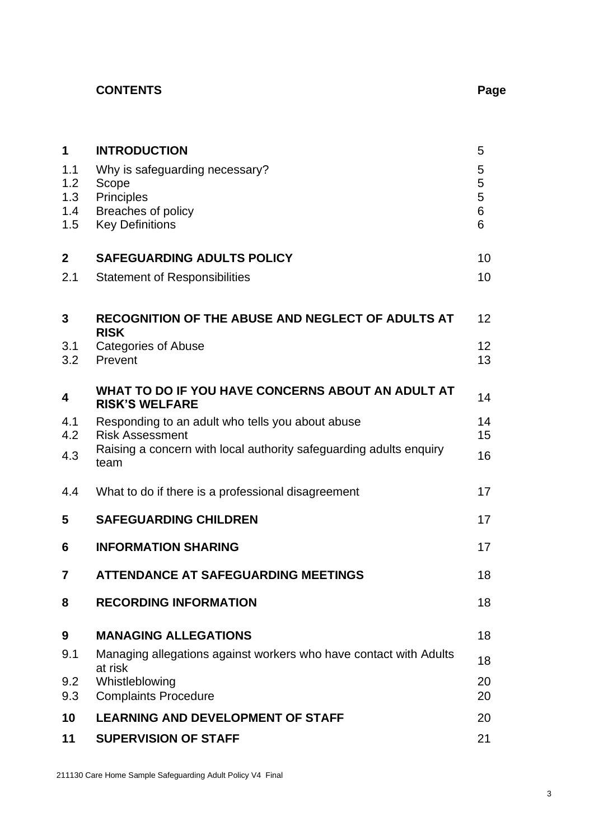## **CONTENTS Page**

| 1                       | <b>INTRODUCTION</b>                                                          | 5           |
|-------------------------|------------------------------------------------------------------------------|-------------|
| 1.1<br>1.2<br>1.3       | Why is safeguarding necessary?<br>Scope<br><b>Principles</b>                 | 5<br>5<br>5 |
| 1.4<br>1.5              | Breaches of policy<br><b>Key Definitions</b>                                 | 6<br>6      |
| $\overline{\mathbf{2}}$ | <b>SAFEGUARDING ADULTS POLICY</b>                                            | 10          |
| 2.1                     | <b>Statement of Responsibilities</b>                                         | 10          |
| 3                       | RECOGNITION OF THE ABUSE AND NEGLECT OF ADULTS AT<br><b>RISK</b>             | 12          |
| 3.1<br>3.2              | <b>Categories of Abuse</b><br>Prevent                                        | 12<br>13    |
| 4                       | WHAT TO DO IF YOU HAVE CONCERNS ABOUT AN ADULT AT<br><b>RISK'S WELFARE</b>   | 14          |
| 4.1<br>4.2              | Responding to an adult who tells you about abuse<br><b>Risk Assessment</b>   | 14<br>15    |
| 4.3                     | Raising a concern with local authority safeguarding adults enquiry<br>team   | 16          |
| 4.4                     | What to do if there is a professional disagreement                           | 17          |
| 5                       | <b>SAFEGUARDING CHILDREN</b>                                                 | 17          |
| 6                       | <b>INFORMATION SHARING</b>                                                   | 17          |
| 7                       | <b>ATTENDANCE AT SAFEGUARDING MEETINGS</b>                                   | 18          |
| 8                       | <b>RECORDING INFORMATION</b>                                                 | 18          |
| 9                       | <b>MANAGING ALLEGATIONS</b>                                                  | 18          |
| 9.1                     | Managing allegations against workers who have contact with Adults<br>at risk | 18          |
| 9.2<br>9.3              | Whistleblowing<br><b>Complaints Procedure</b>                                | 20<br>20    |
| 10                      | <b>LEARNING AND DEVELOPMENT OF STAFF</b>                                     | 20          |
| 11                      | <b>SUPERVISION OF STAFF</b>                                                  | 21          |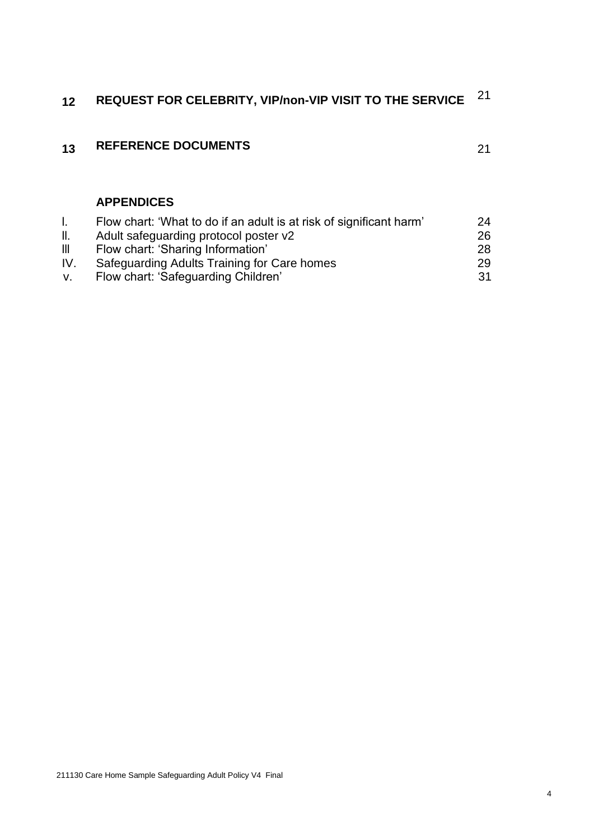# **<sup>12</sup> REQUEST FOR CELEBRITY, VIP/non-VIP VISIT TO THE SERVICE** <sup>21</sup>

### **13 REFERENCE DOCUMENTS** 21

#### **APPENDICES**

|                | Flow chart: 'What to do if an adult is at risk of significant harm' | 24 |
|----------------|---------------------------------------------------------------------|----|
| H.             | Adult safeguarding protocol poster v2                               | 26 |
| $\mathbf{III}$ | Flow chart: 'Sharing Information'                                   | 28 |
| IV.            | Safeguarding Adults Training for Care homes                         | 29 |
|                | Flow chart: 'Safeguarding Children'                                 | 31 |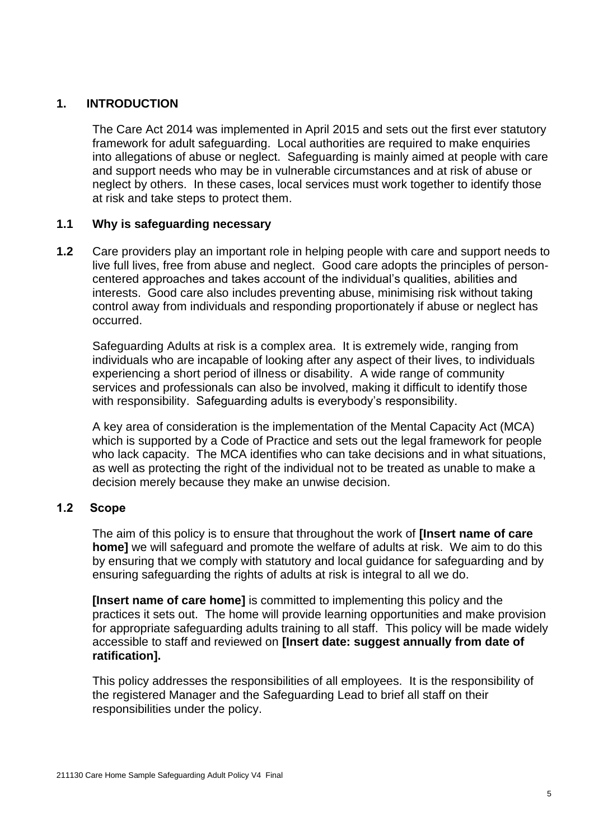#### **1. INTRODUCTION**

The Care Act 2014 was implemented in April 2015 and sets out the first ever statutory framework for adult safeguarding. Local authorities are required to make enquiries into allegations of abuse or neglect. Safeguarding is mainly aimed at people with care and support needs who may be in vulnerable circumstances and at risk of abuse or neglect by others. In these cases, local services must work together to identify those at risk and take steps to protect them.

#### **1.1 Why is safeguarding necessary**

**1.2** Care providers play an important role in helping people with care and support needs to live full lives, free from abuse and neglect. Good care adopts the principles of personcentered approaches and takes account of the individual's qualities, abilities and interests. Good care also includes preventing abuse, minimising risk without taking control away from individuals and responding proportionately if abuse or neglect has occurred.

Safeguarding Adults at risk is a complex area. It is extremely wide, ranging from individuals who are incapable of looking after any aspect of their lives, to individuals experiencing a short period of illness or disability. A wide range of community services and professionals can also be involved, making it difficult to identify those with responsibility. Safeguarding adults is everybody's responsibility.

A key area of consideration is the implementation of the Mental Capacity Act (MCA) which is supported by a Code of Practice and sets out the legal framework for people who lack capacity. The MCA identifies who can take decisions and in what situations, as well as protecting the right of the individual not to be treated as unable to make a decision merely because they make an unwise decision.

#### **1.2 Scope**

The aim of this policy is to ensure that throughout the work of **[Insert name of care home]** we will safeguard and promote the welfare of adults at risk. We aim to do this by ensuring that we comply with statutory and local guidance for safeguarding and by ensuring safeguarding the rights of adults at risk is integral to all we do.

**[Insert name of care home]** is committed to implementing this policy and the practices it sets out. The home will provide learning opportunities and make provision for appropriate safeguarding adults training to all staff. This policy will be made widely accessible to staff and reviewed on **[Insert date: suggest annually from date of ratification].** 

This policy addresses the responsibilities of all employees. It is the responsibility of the registered Manager and the Safeguarding Lead to brief all staff on their responsibilities under the policy.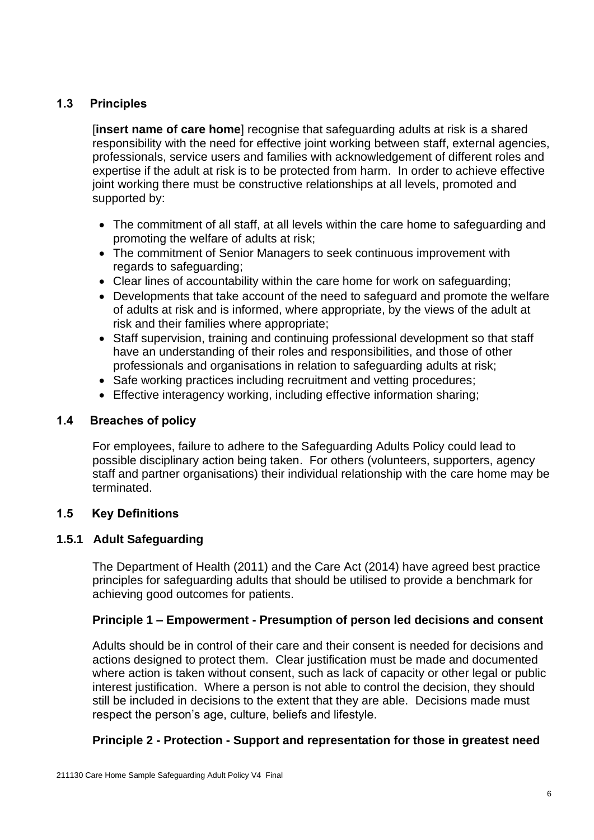#### **1.3 Principles**

[**insert name of care home**] recognise that safeguarding adults at risk is a shared responsibility with the need for effective joint working between staff, external agencies, professionals, service users and families with acknowledgement of different roles and expertise if the adult at risk is to be protected from harm. In order to achieve effective joint working there must be constructive relationships at all levels, promoted and supported by:

- The commitment of all staff, at all levels within the care home to safeguarding and promoting the welfare of adults at risk;
- The commitment of Senior Managers to seek continuous improvement with regards to safeguarding;
- Clear lines of accountability within the care home for work on safeguarding;
- Developments that take account of the need to safeguard and promote the welfare of adults at risk and is informed, where appropriate, by the views of the adult at risk and their families where appropriate;
- Staff supervision, training and continuing professional development so that staff have an understanding of their roles and responsibilities, and those of other professionals and organisations in relation to safeguarding adults at risk;
- Safe working practices including recruitment and vetting procedures;
- Effective interagency working, including effective information sharing;

#### **1.4 Breaches of policy**

For employees, failure to adhere to the Safeguarding Adults Policy could lead to possible disciplinary action being taken. For others (volunteers, supporters, agency staff and partner organisations) their individual relationship with the care home may be terminated.

#### **1.5 Key Definitions**

#### **1.5.1 Adult Safeguarding**

The Department of Health (2011) and the Care Act (2014) have agreed best practice principles for safeguarding adults that should be utilised to provide a benchmark for achieving good outcomes for patients.

#### **Principle 1 – Empowerment - Presumption of person led decisions and consent**

Adults should be in control of their care and their consent is needed for decisions and actions designed to protect them. Clear justification must be made and documented where action is taken without consent, such as lack of capacity or other legal or public interest justification. Where a person is not able to control the decision, they should still be included in decisions to the extent that they are able. Decisions made must respect the person's age, culture, beliefs and lifestyle.

#### **Principle 2 - Protection - Support and representation for those in greatest need**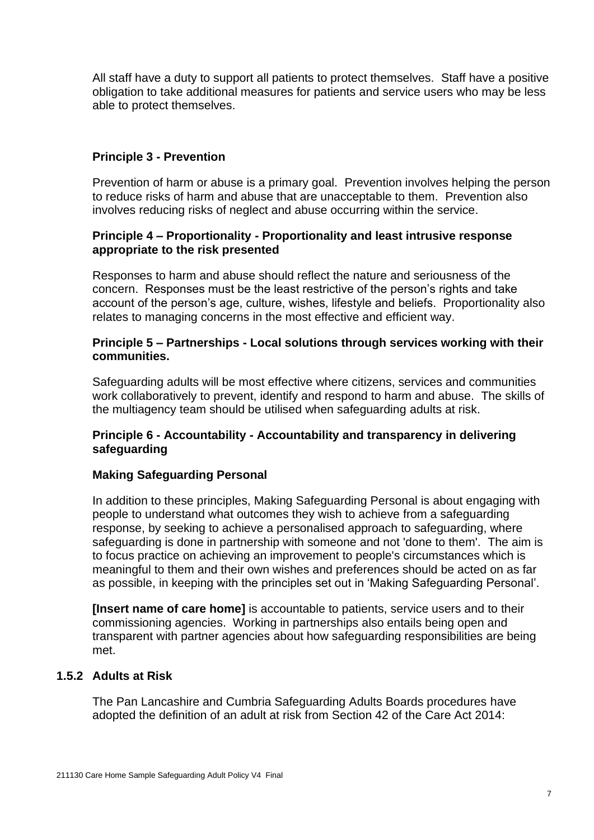All staff have a duty to support all patients to protect themselves. Staff have a positive obligation to take additional measures for patients and service users who may be less able to protect themselves.

#### **Principle 3 - Prevention**

Prevention of harm or abuse is a primary goal. Prevention involves helping the person to reduce risks of harm and abuse that are unacceptable to them. Prevention also involves reducing risks of neglect and abuse occurring within the service.

#### **Principle 4 – Proportionality - Proportionality and least intrusive response appropriate to the risk presented**

Responses to harm and abuse should reflect the nature and seriousness of the concern. Responses must be the least restrictive of the person's rights and take account of the person's age, culture, wishes, lifestyle and beliefs. Proportionality also relates to managing concerns in the most effective and efficient way.

#### **Principle 5 – Partnerships - Local solutions through services working with their communities.**

Safeguarding adults will be most effective where citizens, services and communities work collaboratively to prevent, identify and respond to harm and abuse. The skills of the multiagency team should be utilised when safeguarding adults at risk.

#### **Principle 6 - Accountability - Accountability and transparency in delivering safeguarding**

#### **Making Safeguarding Personal**

In addition to these principles, Making Safeguarding Personal is about engaging with people to understand what outcomes they wish to achieve from a safeguarding response, by seeking to achieve a personalised approach to safeguarding, where safeguarding is done in partnership with someone and not 'done to them'. The aim is to focus practice on achieving an improvement to people's circumstances which is meaningful to them and their own wishes and preferences should be acted on as far as possible, in keeping with the principles set out in 'Making Safeguarding Personal'.

**[Insert name of care home]** is accountable to patients, service users and to their commissioning agencies. Working in partnerships also entails being open and transparent with partner agencies about how safeguarding responsibilities are being met.

#### **1.5.2 Adults at Risk**

The Pan Lancashire and Cumbria Safeguarding Adults Boards procedures have adopted the definition of an adult at risk from Section 42 of the Care Act 2014: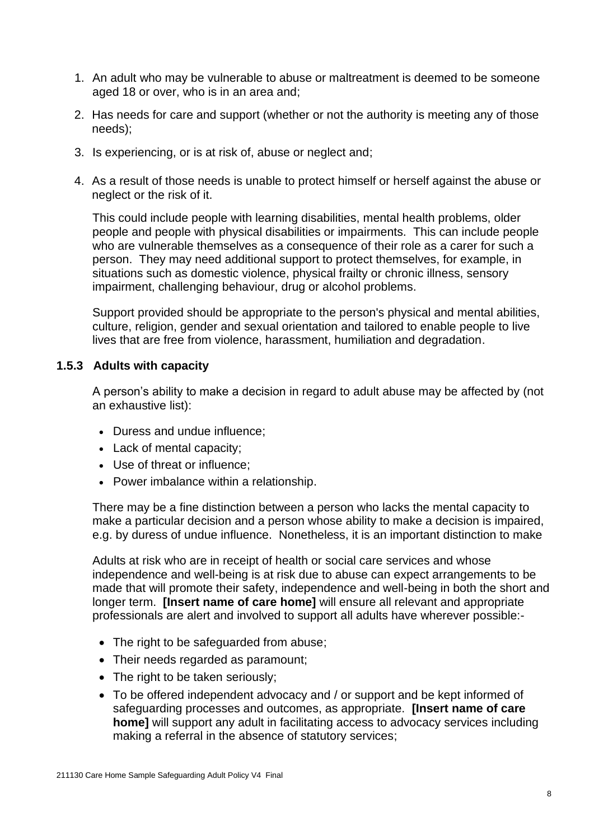- 1. An adult who may be vulnerable to abuse or maltreatment is deemed to be someone aged 18 or over, who is in an area and;
- 2. Has needs for care and support (whether or not the authority is meeting any of those needs);
- 3. Is experiencing, or is at risk of, abuse or neglect and;
- 4. As a result of those needs is unable to protect himself or herself against the abuse or neglect or the risk of it.

This could include people with learning disabilities, mental health problems, older people and people with physical disabilities or impairments. This can include people who are vulnerable themselves as a consequence of their role as a carer for such a person. They may need additional support to protect themselves, for example, in situations such as domestic violence, physical frailty or chronic illness, sensory impairment, challenging behaviour, drug or alcohol problems.

Support provided should be appropriate to the person's physical and mental abilities, culture, religion, gender and sexual orientation and tailored to enable people to live lives that are free from violence, harassment, humiliation and degradation.

#### **1.5.3 Adults with capacity**

A person's ability to make a decision in regard to adult abuse may be affected by (not an exhaustive list):

- Duress and undue influence;
- Lack of mental capacity;
- Use of threat or influence;
- Power imbalance within a relationship.

There may be a fine distinction between a person who lacks the mental capacity to make a particular decision and a person whose ability to make a decision is impaired, e.g. by duress of undue influence. Nonetheless, it is an important distinction to make

Adults at risk who are in receipt of health or social care services and whose independence and well-being is at risk due to abuse can expect arrangements to be made that will promote their safety, independence and well-being in both the short and longer term. **[Insert name of care home]** will ensure all relevant and appropriate professionals are alert and involved to support all adults have wherever possible:-

- The right to be safeguarded from abuse;
- Their needs regarded as paramount;
- The right to be taken seriously;
- To be offered independent advocacy and / or support and be kept informed of safeguarding processes and outcomes, as appropriate. **[Insert name of care home]** will support any adult in facilitating access to advocacy services including making a referral in the absence of statutory services;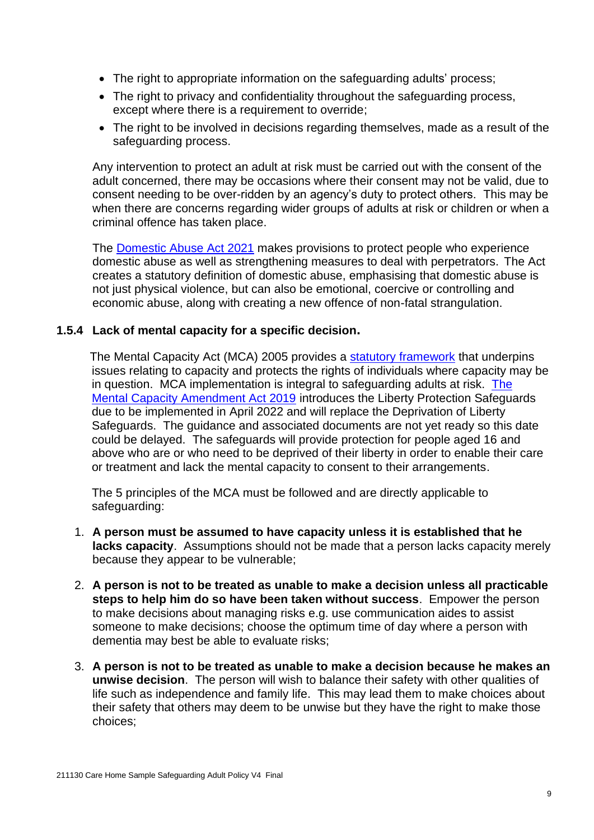- The right to appropriate information on the safeguarding adults' process;
- The right to privacy and confidentiality throughout the safeguarding process, except where there is a requirement to override;
- The right to be involved in decisions regarding themselves, made as a result of the safeguarding process.

Any intervention to protect an adult at risk must be carried out with the consent of the adult concerned, there may be occasions where their consent may not be valid, due to consent needing to be over-ridden by an agency's duty to protect others. This may be when there are concerns regarding wider groups of adults at risk or children or when a criminal offence has taken place.

The [Domestic Abuse Act 2021](https://homeofficemedia.blog.gov.uk/2021/04/29/domesticabuseactfactsheet/) makes provisions to protect people who experience domestic abuse as well as strengthening measures to deal with perpetrators. The Act creates a statutory definition of domestic abuse, emphasising that domestic abuse is not just physical violence, but can also be emotional, coercive or controlling and economic abuse, along with creating a new offence of non-fatal strangulation.

#### **1.5.4 Lack of mental capacity for a specific decision.**

 The Mental Capacity Act (MCA) 2005 provides a [statutory framework](http://www.justice.gov.uk/protecting-the-vulnerable/mental-capacity-act) that underpins issues relating to capacity and protects the rights of individuals where capacity may be in question. MCA implementation is integral to safeguarding adults at risk. [The](https://www.gov.uk/government/collections/mental-capacity-amendment-act-2019-liberty-protection-safeguards-lps)  [Mental Capacity Amendment Act 2019](https://www.gov.uk/government/collections/mental-capacity-amendment-act-2019-liberty-protection-safeguards-lps) introduces the Liberty Protection Safeguards due to be implemented in April 2022 and will replace the Deprivation of Liberty Safeguards. The guidance and associated documents are not yet ready so this date could be delayed. The safeguards will provide protection for people aged 16 and above who are or who need to be deprived of their liberty in order to enable their care or treatment and lack the mental capacity to consent to their arrangements.

The 5 principles of the MCA must be followed and are directly applicable to safeguarding:

- 1. **A person must be assumed to have capacity unless it is established that he lacks capacity**. Assumptions should not be made that a person lacks capacity merely because they appear to be vulnerable;
- 2. **A person is not to be treated as unable to make a decision unless all practicable steps to help him do so have been taken without success**. Empower the person to make decisions about managing risks e.g. use communication aides to assist someone to make decisions; choose the optimum time of day where a person with dementia may best be able to evaluate risks;
- 3. **A person is not to be treated as unable to make a decision because he makes an unwise decision**. The person will wish to balance their safety with other qualities of life such as independence and family life. This may lead them to make choices about their safety that others may deem to be unwise but they have the right to make those choices;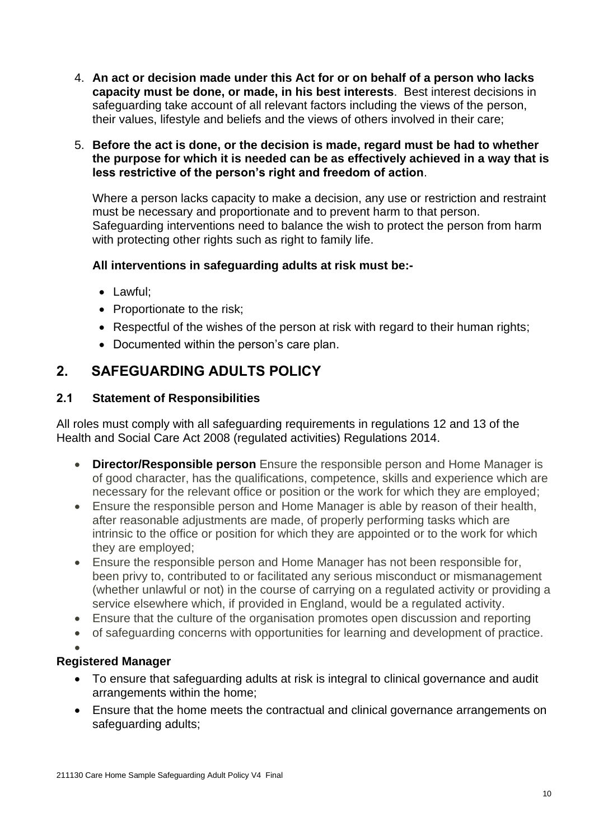- 4. **An act or decision made under this Act for or on behalf of a person who lacks capacity must be done, or made, in his best interests**. Best interest decisions in safeguarding take account of all relevant factors including the views of the person, their values, lifestyle and beliefs and the views of others involved in their care;
- 5. **Before the act is done, or the decision is made, regard must be had to whether the purpose for which it is needed can be as effectively achieved in a way that is less restrictive of the person's right and freedom of action**.

Where a person lacks capacity to make a decision, any use or restriction and restraint must be necessary and proportionate and to prevent harm to that person. Safeguarding interventions need to balance the wish to protect the person from harm with protecting other rights such as right to family life.

#### **All interventions in safeguarding adults at risk must be:-**

- Lawful;
- Proportionate to the risk;
- Respectful of the wishes of the person at risk with regard to their human rights;
- Documented within the person's care plan.

### **2. SAFEGUARDING ADULTS POLICY**

#### **2.1 Statement of Responsibilities**

All roles must comply with all safeguarding requirements in regulations 12 and 13 of the Health and Social Care Act 2008 (regulated activities) Regulations 2014.

- **Director/Responsible person** Ensure the responsible person and Home Manager is of good character, has the qualifications, competence, skills and experience which are necessary for the relevant office or position or the work for which they are employed;
- Ensure the responsible person and Home Manager is able by reason of their health, after reasonable adjustments are made, of properly performing tasks which are intrinsic to the office or position for which they are appointed or to the work for which they are employed;
- Ensure the responsible person and Home Manager has not been responsible for, been privy to, contributed to or facilitated any serious misconduct or mismanagement (whether unlawful or not) in the course of carrying on a regulated activity or providing a service elsewhere which, if provided in England, would be a regulated activity.
- Ensure that the culture of the organisation promotes open discussion and reporting
- of safeguarding concerns with opportunities for learning and development of practice.

#### • **Registered Manager**

- To ensure that safeguarding adults at risk is integral to clinical governance and audit arrangements within the home;
- Ensure that the home meets the contractual and clinical governance arrangements on safeguarding adults;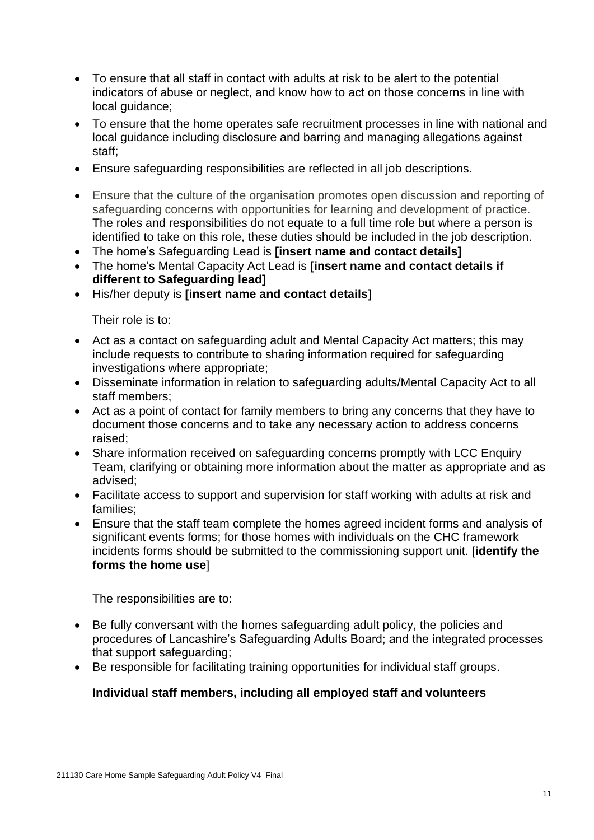- To ensure that all staff in contact with adults at risk to be alert to the potential indicators of abuse or neglect, and know how to act on those concerns in line with local guidance;
- To ensure that the home operates safe recruitment processes in line with national and local guidance including disclosure and barring and managing allegations against staff;
- Ensure safeguarding responsibilities are reflected in all job descriptions.
- Ensure that the culture of the organisation promotes open discussion and reporting of safeguarding concerns with opportunities for learning and development of practice. The roles and responsibilities do not equate to a full time role but where a person is identified to take on this role, these duties should be included in the job description.
- The home's Safeguarding Lead is **[insert name and contact details]**
- The home's Mental Capacity Act Lead is **[insert name and contact details if different to Safeguarding lead]**
- His/her deputy is **[insert name and contact details]**

Their role is to:

- Act as a contact on safeguarding adult and Mental Capacity Act matters; this may include requests to contribute to sharing information required for safeguarding investigations where appropriate;
- Disseminate information in relation to safeguarding adults/Mental Capacity Act to all staff members;
- Act as a point of contact for family members to bring any concerns that they have to document those concerns and to take any necessary action to address concerns raised;
- Share information received on safeguarding concerns promptly with LCC Enquiry Team, clarifying or obtaining more information about the matter as appropriate and as advised;
- Facilitate access to support and supervision for staff working with adults at risk and families;
- Ensure that the staff team complete the homes agreed incident forms and analysis of significant events forms; for those homes with individuals on the CHC framework incidents forms should be submitted to the commissioning support unit. [**identify the forms the home use**]

The responsibilities are to:

- Be fully conversant with the homes safeguarding adult policy, the policies and procedures of Lancashire's Safeguarding Adults Board; and the integrated processes that support safeguarding;
- Be responsible for facilitating training opportunities for individual staff groups.

#### **Individual staff members, including all employed staff and volunteers**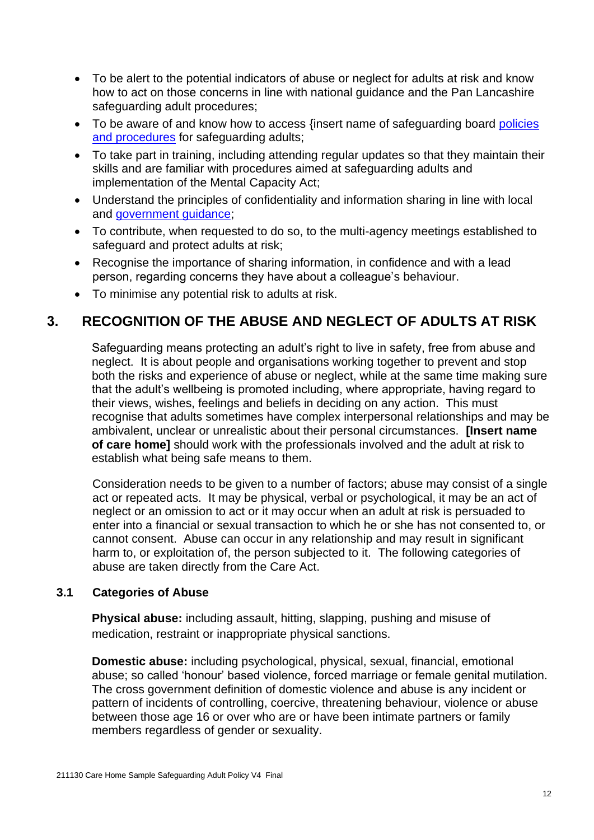- To be alert to the potential indicators of abuse or neglect for adults at risk and know how to act on those concerns in line with national guidance and the Pan Lancashire safeguarding adult procedures;
- To be aware of and know how to access {insert name of safeguarding board policies [and procedures](https://www.lancashiresafeguarding.org.uk/lancashire-safeguarding-adults/policies-and-procedures/) for safeguarding adults;
- To take part in training, including attending regular updates so that they maintain their skills and are familiar with procedures aimed at safeguarding adults and implementation of the Mental Capacity Act;
- Understand the principles of confidentiality and information sharing in line with local and [government guidance;](https://www.gov.uk/nursing-homes-registration-england)
- To contribute, when requested to do so, to the multi-agency meetings established to safeguard and protect adults at risk;
- Recognise the importance of sharing information, in confidence and with a lead person, regarding concerns they have about a colleague's behaviour.
- To minimise any potential risk to adults at risk.

## **3. RECOGNITION OF THE ABUSE AND NEGLECT OF ADULTS AT RISK**

Safeguarding means protecting an adult's right to live in safety, free from abuse and neglect. It is about people and organisations working together to prevent and stop both the risks and experience of abuse or neglect, while at the same time making sure that the adult's wellbeing is promoted including, where appropriate, having regard to their views, wishes, feelings and beliefs in deciding on any action. This must recognise that adults sometimes have complex interpersonal relationships and may be ambivalent, unclear or unrealistic about their personal circumstances. **[Insert name of care home]** should work with the professionals involved and the adult at risk to establish what being safe means to them.

Consideration needs to be given to a number of factors; abuse may consist of a single act or repeated acts. It may be physical, verbal or psychological, it may be an act of neglect or an omission to act or it may occur when an adult at risk is persuaded to enter into a financial or sexual transaction to which he or she has not consented to, or cannot consent. Abuse can occur in any relationship and may result in significant harm to, or exploitation of, the person subjected to it. The following categories of abuse are taken directly from the Care Act.

#### **3.1 Categories of Abuse**

**Physical abuse:** including assault, hitting, slapping, pushing and misuse of medication, restraint or inappropriate physical sanctions.

**Domestic abuse:** including psychological, physical, sexual, financial, emotional abuse; so called 'honour' based violence, forced marriage or female genital mutilation. The cross government definition of domestic violence and abuse is any incident or pattern of incidents of controlling, coercive, threatening behaviour, violence or abuse between those age 16 or over who are or have been intimate partners or family members regardless of gender or sexuality.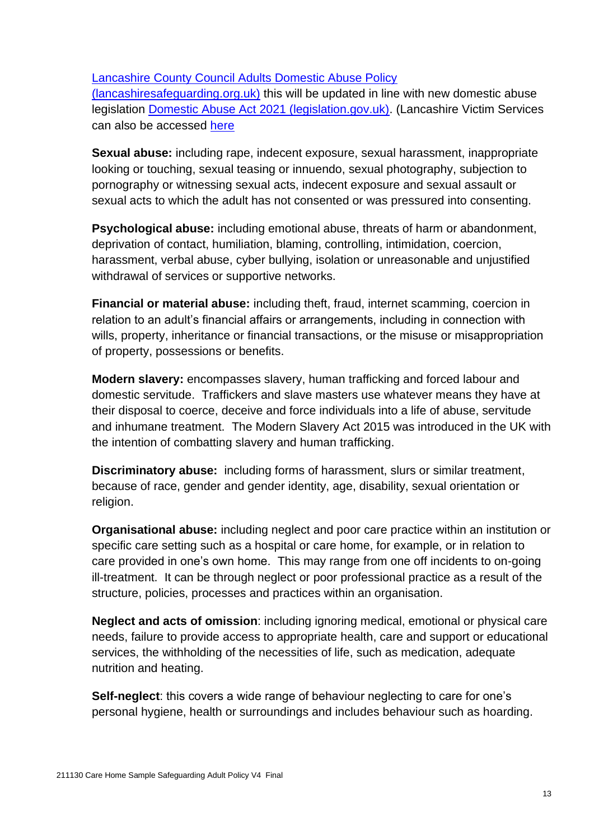[Lancashire County Council Adults Domestic Abuse Policy](https://www.lancashiresafeguarding.org.uk/media/1456/Domestic-Abuse-Guidance.pdf) 

[\(lancashiresafeguarding.org.uk\)](https://www.lancashiresafeguarding.org.uk/media/1456/Domestic-Abuse-Guidance.pdf) this will be updated in line with new domestic abuse legislation [Domestic Abuse Act 2021 \(legislation.gov.uk\).](https://www.legislation.gov.uk/ukpga/2021/17/contents) (Lancashire Victim Services can also be accessed [here](https://lancashirevictimservices.org/)

**Sexual abuse:** including rape, indecent exposure, sexual harassment, inappropriate looking or touching, sexual teasing or innuendo, sexual photography, subjection to pornography or witnessing sexual acts, indecent exposure and sexual assault or sexual acts to which the adult has not consented or was pressured into consenting.

**Psychological abuse:** including emotional abuse, threats of harm or abandonment, deprivation of contact, humiliation, blaming, controlling, intimidation, coercion, harassment, verbal abuse, cyber bullying, isolation or unreasonable and unjustified withdrawal of services or supportive networks.

**Financial or material abuse:** including theft, fraud, internet scamming, coercion in relation to an adult's financial affairs or arrangements, including in connection with wills, property, inheritance or financial transactions, or the misuse or misappropriation of property, possessions or benefits.

**Modern slavery:** encompasses slavery, human trafficking and forced labour and domestic servitude. Traffickers and slave masters use whatever means they have at their disposal to coerce, deceive and force individuals into a life of abuse, servitude and inhumane treatment. The Modern Slavery Act 2015 was introduced in the UK with the intention of combatting slavery and human trafficking.

**Discriminatory abuse:** including forms of harassment, slurs or similar treatment, because of race, gender and gender identity, age, disability, sexual orientation or religion.

**Organisational abuse:** including neglect and poor care practice within an institution or specific care setting such as a hospital or care home, for example, or in relation to care provided in one's own home. This may range from one off incidents to on-going ill-treatment. It can be through neglect or poor professional practice as a result of the structure, policies, processes and practices within an organisation.

**Neglect and acts of omission**: including ignoring medical, emotional or physical care needs, failure to provide access to appropriate health, care and support or educational services, the withholding of the necessities of life, such as medication, adequate nutrition and heating.

**Self-neglect**: this covers a wide range of behaviour neglecting to care for one's personal hygiene, health or surroundings and includes behaviour such as hoarding.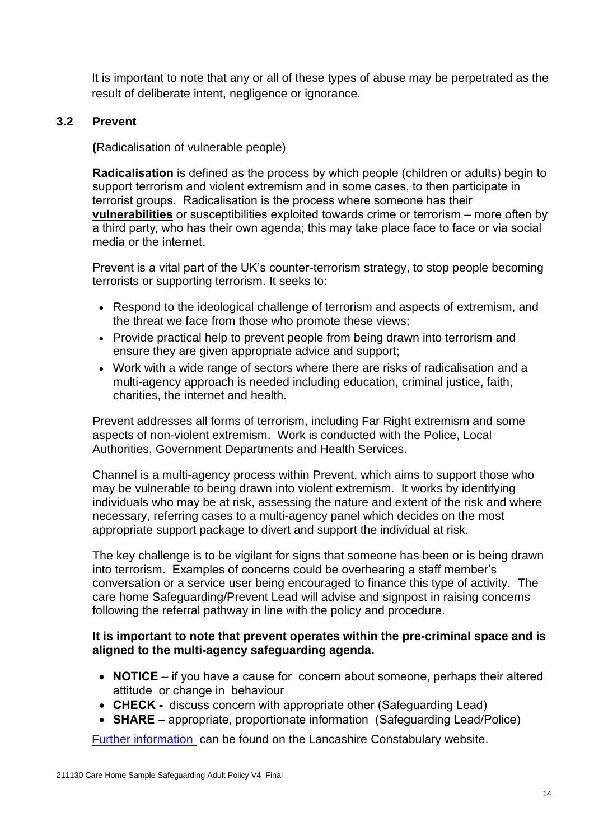It is important to note that any or all of these types of abuse may be perpetrated as the result of deliberate intent, negligence or ignorance.

#### **3.2 Prevent**

**(**Radicalisation of vulnerable people)

**Radicalisation** is defined as the process by which people (children or adults) begin to support terrorism and violent extremism and in some cases, to then participate in terrorist groups. Radicalisation is the process where someone has their **vulnerabilities** or susceptibilities exploited towards crime or terrorism – more often by a third party, who has their own agenda; this may take place face to face or via social media or the internet.

Prevent is a vital part of the UK's counter-terrorism strategy, to stop people becoming terrorists or supporting terrorism. It seeks to:

- Respond to the ideological challenge of terrorism and aspects of extremism, and the threat we face from those who promote these views;
- Provide practical help to prevent people from being drawn into terrorism and ensure they are given appropriate advice and support;
- Work with a wide range of sectors where there are risks of radicalisation and a multi-agency approach is needed including education, criminal justice, faith, charities, the internet and health.

Prevent addresses all forms of terrorism, including Far Right extremism and some aspects of non-violent extremism. Work is conducted with the Police, Local Authorities, Government Departments and Health Services.

Channel is a multi-agency process within Prevent, which aims to support those who may be vulnerable to being drawn into violent extremism. It works by identifying individuals who may be at risk, assessing the nature and extent of the risk and where necessary, referring cases to a multi-agency panel which decides on the most appropriate support package to divert and support the individual at risk.

The key challenge is to be vigilant for signs that someone has been or is being drawn into terrorism. Examples of concerns could be overhearing a staff member's conversation or a service user being encouraged to finance this type of activity. The care home Safeguarding/Prevent Lead will advise and signpost in raising concerns following the referral pathway in line with the policy and procedure.

#### **It is important to note that prevent operates within the pre-criminal space and is aligned to the multi-agency safeguarding agenda.**

- **NOTICE** if you have a cause for concern about someone, perhaps their altered attitude or change in behaviour
- **CHECK -** discuss concern with appropriate other (Safeguarding Lead)
- **SHARE** appropriate, proportionate information (Safeguarding Lead/Police)

[Further information](https://www.lancashire.police.uk/help-advice/safer-communities/counter-terrorism/prevent/) can be found on the Lancashire Constabulary website.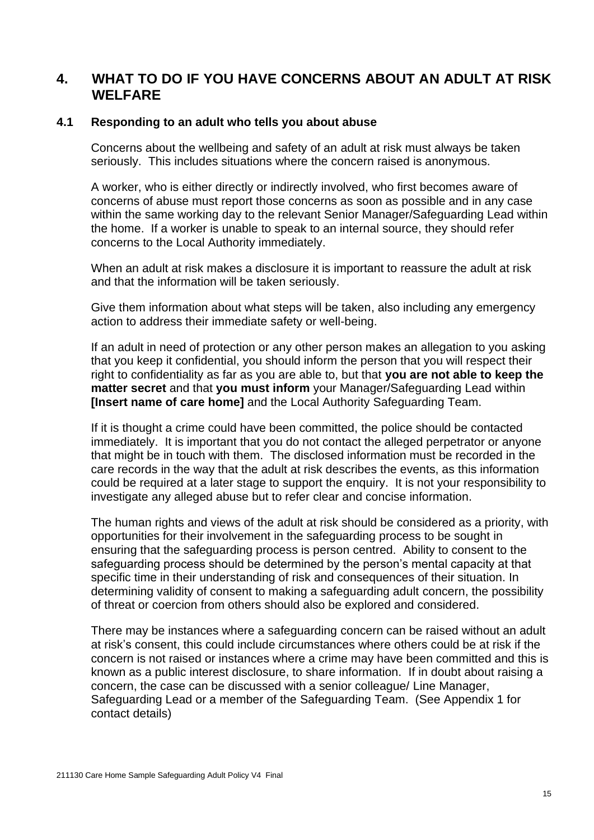#### **4. WHAT TO DO IF YOU HAVE CONCERNS ABOUT AN ADULT AT RISK WELFARE**

#### **4.1 Responding to an adult who tells you about abuse**

Concerns about the wellbeing and safety of an [adult at risk](http://trixresources.proceduresonline.com/nat_key/keywords/adult_at_risk.html) must always be taken seriously. This includes situations where the concern raised is anonymous.

A worker, who is either directly or indirectly involved, who first becomes aware of concerns of abuse must report those concerns as soon as possible and in any case within the same working day to the relevant Senior Manager/Safeguarding Lead within the home. If a worker is unable to speak to an internal source, they should refer concerns to the Local Authority immediately.

When an adult at risk makes a disclosure it is important to reassure the adult at risk and that the information will be taken seriously.

Give them information about what steps will be taken, also including any emergency action to address their immediate safety or well-being.

If an adult in need of protection or any other person makes an allegation to you asking that you keep it confidential, you should inform the person that you will respect their right to confidentiality as far as you are able to, but that **you are not able to keep the matter secret** and that **you must inform** your Manager/Safeguarding Lead within **[Insert name of care home]** and the Local Authority Safeguarding Team.

If it is thought a crime could have been committed, the police should be contacted immediately. It is important that you do not contact the alleged perpetrator or anyone that might be in touch with them. The disclosed information must be recorded in the care records in the way that the adult at risk describes the events, as this information could be required at a later stage to support the enquiry. It is not your responsibility to investigate any alleged abuse but to refer clear and concise information.

The human rights and views of the adult at risk should be considered as a priority, with opportunities for their involvement in the safeguarding process to be sought in ensuring that the safeguarding process is person centred. Ability to consent to the safeguarding process should be determined by the person's mental capacity at that specific time in their understanding of risk and consequences of their situation. In determining validity of consent to making a safeguarding adult concern, the possibility of threat or coercion from others should also be explored and considered.

There may be instances where a safeguarding concern can be raised without an adult at risk's consent, this could include circumstances where others could be at risk if the concern is not raised or instances where a crime may have been committed and this is known as a public interest disclosure, to share information. If in doubt about raising a concern, the case can be discussed with a senior colleague/ Line Manager, Safeguarding Lead or a member of the Safeguarding Team. (See Appendix 1 for contact details)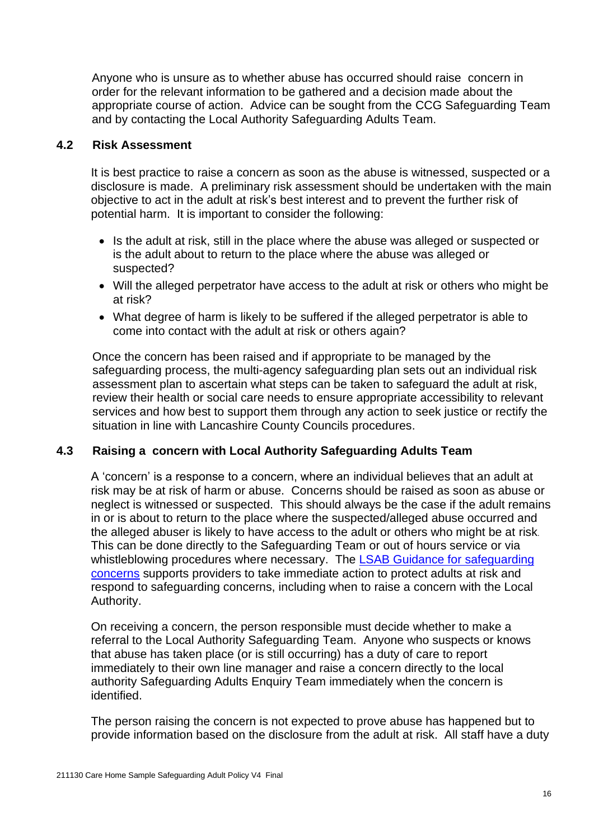Anyone who is unsure as to whether abuse has occurred should raise concern in order for the relevant information to be gathered and a decision made about the appropriate course of action. Advice can be sought from the CCG Safeguarding Team and by contacting the Local Authority Safeguarding Adults Team.

#### **4.2 Risk Assessment**

 It is best practice to raise a concern as soon as the abuse is witnessed, suspected or a disclosure is made. A preliminary risk assessment should be undertaken with the main objective to act in the adult at risk's best interest and to prevent the further risk of potential harm. It is important to consider the following:

- Is the adult at risk, still in the place where the abuse was alleged or suspected or is the adult about to return to the place where the abuse was alleged or suspected?
- Will the alleged perpetrator have access to the adult at risk or others who might be at risk?
- What degree of harm is likely to be suffered if the alleged perpetrator is able to come into contact with the adult at risk or others again?

Once the concern has been raised and if appropriate to be managed by the safeguarding process, the multi-agency safeguarding plan sets out an individual risk assessment plan to ascertain what steps can be taken to safeguard the adult at risk, review their health or social care needs to ensure appropriate accessibility to relevant services and how best to support them through any action to seek justice or rectify the situation in line with Lancashire County Councils procedures.

#### **4.3 Raising a concern with Local Authority Safeguarding Adults Team**

A 'concern' is a response to a concern, where an individual believes that an adult at risk may be at risk of harm or abuse. Concerns should be raised as soon as abuse or neglect is witnessed or suspected. This should always be the case if the adult remains in or is about to return to the place where the suspected/alleged abuse occurred and the alleged abuser is likely to have access to the adult or others who might be at risk. This can be done directly to the Safeguarding Team or out of hours service or via whistleblowing procedures where necessary. The LSAB Guidance for safeguarding [concerns](http://www.lancashiresafeguarding.org.uk/lancashire-safeguarding-adults/resources/guidance-for-safeguarding-concerns.aspx) supports providers to take immediate action to protect adults at risk and respond to safeguarding concerns, including when to raise a concern with the Local Authority.

On receiving a concern, the person responsible must decide whether to make a referral to the Local Authority Safeguarding Team. Anyone who suspects or knows that abuse has taken place (or is still occurring) has a duty of care to report immediately to their own line manager and raise a concern directly to the local authority Safeguarding Adults Enquiry Team immediately when the concern is identified.

The person raising the concern is not expected to prove abuse has happened but to provide information based on the disclosure from the adult at risk. All staff have a duty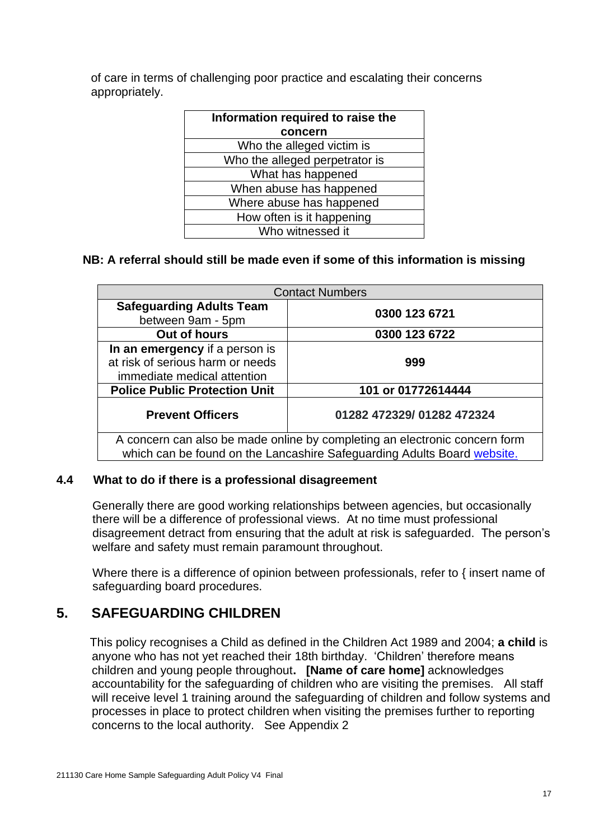of care in terms of challenging poor practice and escalating their concerns appropriately.

| Information required to raise the |
|-----------------------------------|
| concern                           |
| Who the alleged victim is         |
| Who the alleged perpetrator is    |
| What has happened                 |
| When abuse has happened           |
| Where abuse has happened          |
| How often is it happening         |
| Who witnessed it                  |
|                                   |

#### **NB: A referral should still be made even if some of this information is missing**

| <b>Contact Numbers</b>                                                     |                           |  |
|----------------------------------------------------------------------------|---------------------------|--|
| <b>Safeguarding Adults Team</b>                                            | 0300 123 6721             |  |
| between 9am - 5pm                                                          |                           |  |
| Out of hours                                                               | 0300 123 6722             |  |
| In an emergency if a person is                                             |                           |  |
| at risk of serious harm or needs                                           | 999                       |  |
| immediate medical attention                                                |                           |  |
| <b>Police Public Protection Unit</b>                                       | 101 or 01772614444        |  |
| <b>Prevent Officers</b>                                                    | 01282 472329/01282 472324 |  |
| A concern can also be made online by completing an electronic concern form |                           |  |
| which can be found on the Lancashire Safeguarding Adults Board website.    |                           |  |

#### **4.4 What to do if there is a professional disagreement**

Generally there are good working relationships between agencies, but occasionally there will be a difference of professional views. At no time must professional disagreement detract from ensuring that the adult at risk is safeguarded. The person's welfare and safety must remain paramount throughout.

Where there is a difference of opinion between professionals, refer to { insert name of safeguarding board procedures.

#### **5. SAFEGUARDING CHILDREN**

This policy recognises a Child as defined in the Children Act 1989 and 2004; **a child** is anyone who has not yet reached their 18th birthday. 'Children' therefore means children and young people throughout**. [Name of care home]** acknowledges accountability for the safeguarding of children who are visiting the premises. All staff will receive level 1 training around the safeguarding of children and follow systems and processes in place to protect children when visiting the premises further to reporting concerns to the local authority. See Appendix 2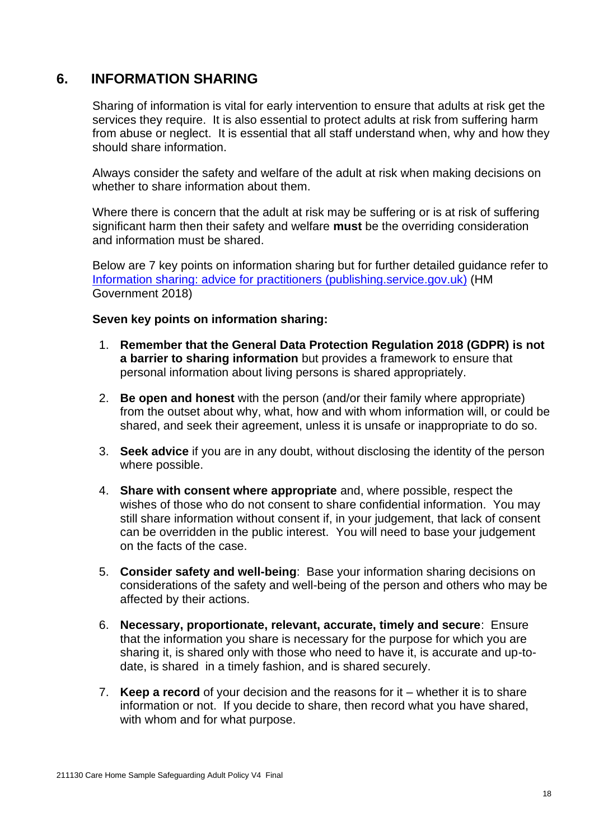#### **6. INFORMATION SHARING**

Sharing of information is vital for early intervention to ensure that adults at risk get the services they require. It is also essential to protect adults at risk from suffering harm from abuse or neglect. It is essential that all staff understand when, why and how they should share information.

Always consider the safety and welfare of the adult at risk when making decisions on whether to share information about them.

Where there is concern that the adult at risk may be suffering or is at risk of suffering significant harm then their safety and welfare **must** be the overriding consideration and information must be shared.

Below are 7 key points on information sharing but for further detailed guidance refer to [Information sharing: advice for practitioners \(publishing.service.gov.uk\)](https://assets.publishing.service.gov.uk/government/uploads/system/uploads/attachment_data/file/721581/Information_sharing_advice_practitioners_safeguarding_services.pdf) (HM Government 2018)

#### **Seven key points on information sharing:**

- 1. **Remember that the General Data Protection Regulation 2018 (GDPR) is not a barrier to sharing information** but provides a framework to ensure that personal information about living persons is shared appropriately.
- 2. **Be open and honest** with the person (and/or their family where appropriate) from the outset about why, what, how and with whom information will, or could be shared, and seek their agreement, unless it is unsafe or inappropriate to do so.
- 3. **Seek advice** if you are in any doubt, without disclosing the identity of the person where possible.
- 4. **Share with consent where appropriate** and, where possible, respect the wishes of those who do not consent to share confidential information. You may still share information without consent if, in your judgement, that lack of consent can be overridden in the public interest. You will need to base your judgement on the facts of the case.
- 5. **Consider safety and well-being**: Base your information sharing decisions on considerations of the safety and well-being of the person and others who may be affected by their actions.
- 6. **Necessary, proportionate, relevant, accurate, timely and secure**: Ensure that the information you share is necessary for the purpose for which you are sharing it, is shared only with those who need to have it, is accurate and up-todate, is shared in a timely fashion, and is shared securely.
- 7. **Keep a record** of your decision and the reasons for it whether it is to share information or not. If you decide to share, then record what you have shared, with whom and for what purpose.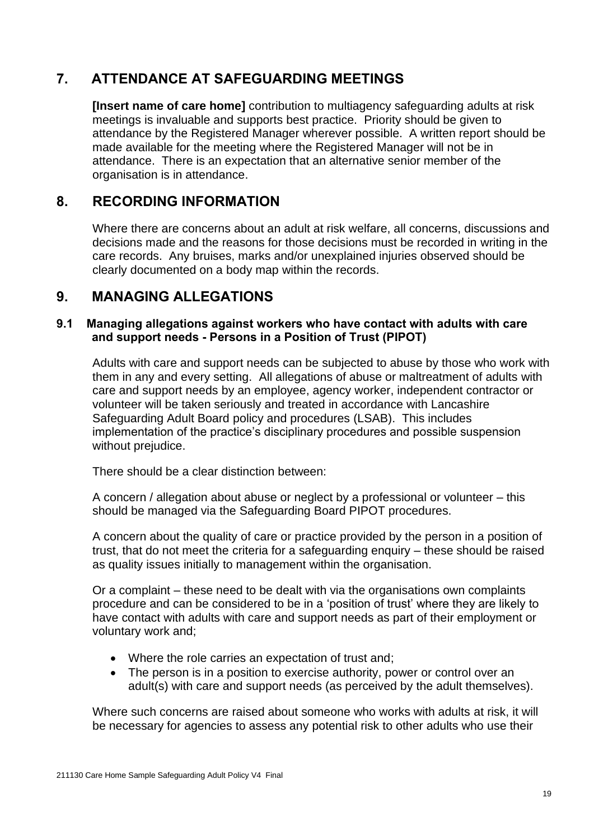## **7. ATTENDANCE AT SAFEGUARDING MEETINGS**

**[Insert name of care home]** contribution to multiagency safeguarding adults at risk meetings is invaluable and supports best practice. Priority should be given to attendance by the Registered Manager wherever possible. A written report should be made available for the meeting where the Registered Manager will not be in attendance. There is an expectation that an alternative senior member of the organisation is in attendance.

## **8. RECORDING INFORMATION**

Where there are concerns about an adult at risk welfare, all concerns, discussions and decisions made and the reasons for those decisions must be recorded in writing in the care records. Any bruises, marks and/or unexplained injuries observed should be clearly documented on a body map within the records.

### **9. MANAGING ALLEGATIONS**

#### **9.1 Managing allegations against workers who have contact with adults with care and support needs - Persons in a Position of Trust (PIPOT)**

Adults with care and support needs can be subjected to abuse by those who work with them in any and every setting. All allegations of abuse or maltreatment of adults with care and support needs by an employee, agency worker, independent contractor or volunteer will be taken seriously and treated in accordance with Lancashire Safeguarding Adult Board policy and procedures (LSAB). This includes implementation of the practice's disciplinary procedures and possible suspension without prejudice.

There should be a clear distinction between:

A concern / allegation about abuse or neglect by a professional or volunteer – this should be managed via the Safeguarding Board PIPOT procedures.

A concern about the quality of care or practice provided by the person in a position of trust, that do not meet the criteria for a safeguarding enquiry – these should be raised as quality issues initially to management within the organisation.

Or a complaint – these need to be dealt with via the organisations own complaints procedure and can be considered to be in a 'position of trust' where they are likely to have contact with adults with care and support needs as part of their employment or voluntary work and;

- Where the role carries an expectation of trust and;
- The person is in a position to exercise authority, power or control over an adult(s) with care and support needs (as perceived by the adult themselves).

Where such concerns are raised about someone who works with adults at risk, it will be necessary for agencies to assess any potential risk to other adults who use their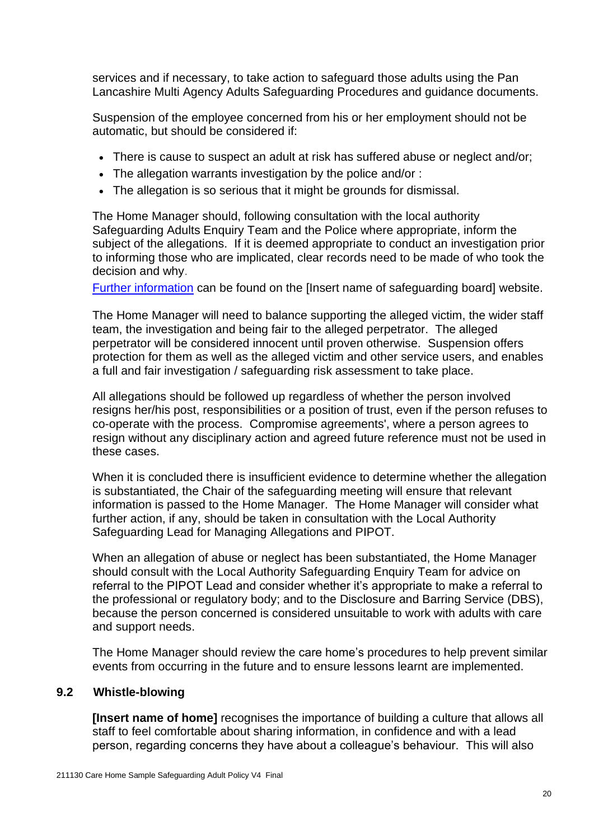services and if necessary, to take action to safeguard those adults using the Pan Lancashire Multi Agency Adults Safeguarding Procedures and guidance documents.

Suspension of the employee concerned from his or her employment should not be automatic, but should be considered if:

- There is cause to suspect an adult at risk has suffered abuse or neglect and/or;
- The allegation warrants investigation by the police and/or :
- The allegation is so serious that it might be grounds for dismissal.

The Home Manager should, following consultation with the local authority Safeguarding Adults Enquiry Team and the Police where appropriate, inform the subject of the allegations. If it is deemed appropriate to conduct an investigation prior to informing those who are implicated, clear records need to be made of who took the decision and why.

[Further information](http://www.lancashiresafeguarding.org.uk/lancashire-safeguarding-adults/policies-and-procedures.aspx) can be found on the [Insert name of safeguarding board] website.

The Home Manager will need to balance supporting the alleged victim, the wider staff team, the investigation and being fair to the alleged perpetrator. The alleged perpetrator will be considered innocent until proven otherwise. Suspension offers protection for them as well as the alleged victim and other service users, and enables a full and fair investigation / safeguarding risk assessment to take place.

All allegations should be followed up regardless of whether the person involved resigns her/his post, responsibilities or a position of trust, even if the person refuses to co-operate with the process. Compromise agreements', where a person agrees to resign without any disciplinary action and agreed future reference must not be used in these cases.

When it is concluded there is insufficient evidence to determine whether the allegation is substantiated, the Chair of the safeguarding meeting will ensure that relevant information is passed to the Home Manager. The Home Manager will consider what further action, if any, should be taken in consultation with the Local Authority Safeguarding Lead for Managing Allegations and PIPOT.

When an allegation of abuse or neglect has been substantiated, the Home Manager should consult with the Local Authority Safeguarding Enquiry Team for advice on referral to the PIPOT Lead and consider whether it's appropriate to make a referral to the professional or regulatory body; and to the Disclosure and Barring Service (DBS), because the person concerned is considered unsuitable to work with adults with care and support needs.

The Home Manager should review the care home's procedures to help prevent similar events from occurring in the future and to ensure lessons learnt are implemented.

#### **9.2 Whistle-blowing**

**[Insert name of home]** recognises the importance of building a culture that allows all staff to feel comfortable about sharing information, in confidence and with a lead person, regarding concerns they have about a colleague's behaviour. This will also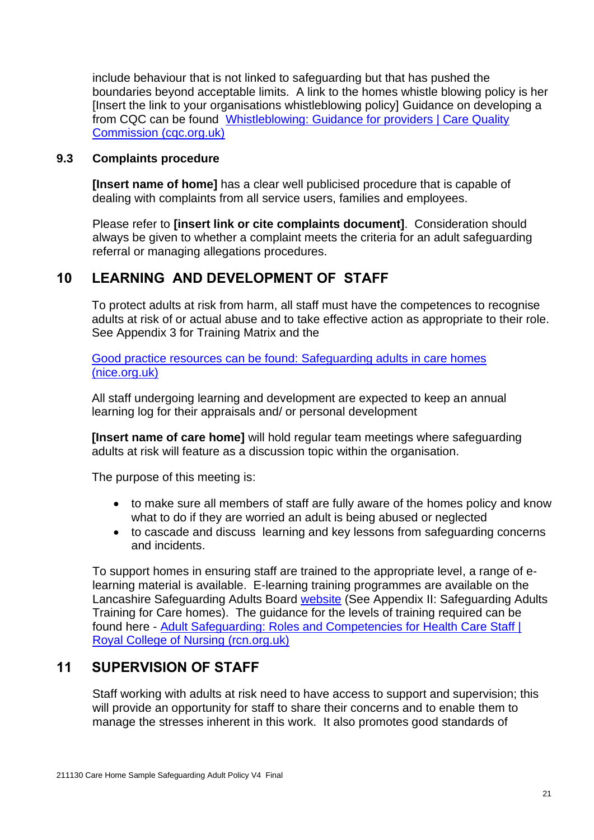include behaviour that is not linked to safeguarding but that has pushed the boundaries beyond acceptable limits. A link to the homes whistle blowing policy is her [Insert the link to your organisations whistleblowing policy] Guidance on developing a from CQC can be found [Whistleblowing: Guidance for providers | Care Quality](https://www.cqc.org.uk/files/whistleblowing-guidance-providers)  [Commission \(cqc.org.uk\)](https://www.cqc.org.uk/files/whistleblowing-guidance-providers)

#### **9.3 Complaints procedure**

**[Insert name of home]** has a clear well publicised procedure that is capable of dealing with complaints from all service users, families and employees.

Please refer to **[insert link or cite complaints document]**. Consideration should always be given to whether a complaint meets the criteria for an adult safeguarding referral or managing allegations procedures.

#### **10 LEARNING AND DEVELOPMENT OF STAFF**

To protect adults at risk from harm, all staff must have the competences to recognise adults at risk of or actual abuse and to take effective action as appropriate to their role. See Appendix 3 for Training Matrix and the

Good practice resources can be found: [Safeguarding adults in care homes](https://www.nice.org.uk/guidance/ng189/resources/safeguarding-adults-in-care-homes-pdf-66142030079941)  [\(nice.org.uk\)](https://www.nice.org.uk/guidance/ng189/resources/safeguarding-adults-in-care-homes-pdf-66142030079941)

All staff undergoing learning and development are expected to keep an annual learning log for their appraisals and/ or personal development

**[Insert name of care home]** will hold regular team meetings where safeguarding adults at risk will feature as a discussion topic within the organisation.

The purpose of this meeting is:

- to make sure all members of staff are fully aware of the homes policy and know what to do if they are worried an adult is being abused or neglected
- to cascade and discuss learning and key lessons from safeguarding concerns and incidents.

To support homes in ensuring staff are trained to the appropriate level, a range of elearning material is available. E-learning training programmes are available on the Lancashire Safeguarding Adults Board [website](http://www3.lancashire.gov.uk/corporate/web/view.asp?siteid=3825&pageid=38308&e=e) (See Appendix II: Safeguarding Adults Training for Care homes). The guidance for the levels of training required can be found here - [Adult Safeguarding: Roles and Competencies for Health Care Staff |](https://www.rcn.org.uk/professional-development/publications/pub-007069)  [Royal College of Nursing \(rcn.org.uk\)](https://www.rcn.org.uk/professional-development/publications/pub-007069)

#### **11 SUPERVISION OF STAFF**

Staff working with adults at risk need to have access to support and supervision; this will provide an opportunity for staff to share their concerns and to enable them to manage the stresses inherent in this work. It also promotes good standards of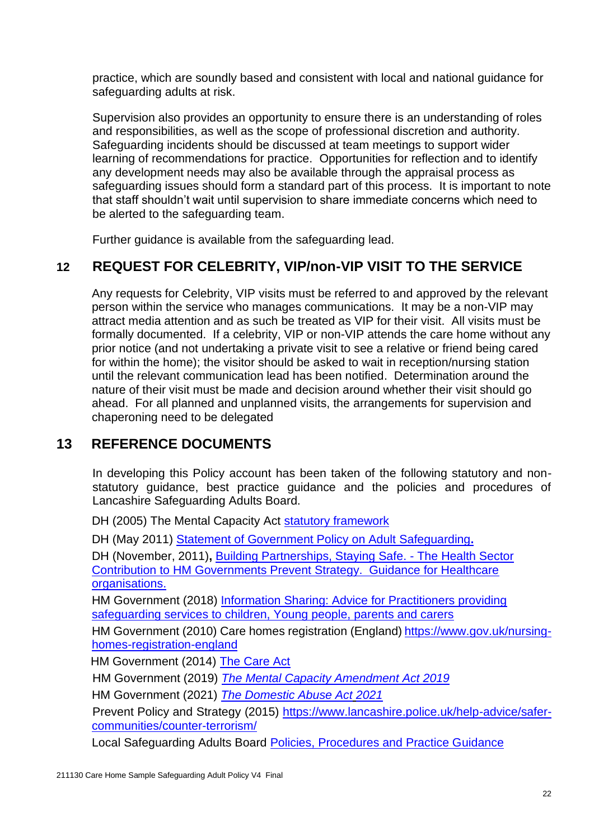practice, which are soundly based and consistent with local and national guidance for safeguarding adults at risk.

Supervision also provides an opportunity to ensure there is an understanding of roles and responsibilities, as well as the scope of professional discretion and authority. Safeguarding incidents should be discussed at team meetings to support wider learning of recommendations for practice. Opportunities for reflection and to identify any development needs may also be available through the appraisal process as safeguarding issues should form a standard part of this process. It is important to note that staff shouldn't wait until supervision to share immediate concerns which need to be alerted to the safeguarding team.

Further guidance is available from the safeguarding lead.

## **12 REQUEST FOR CELEBRITY, VIP/non-VIP VISIT TO THE SERVICE**

Any requests for Celebrity, VIP visits must be referred to and approved by the relevant person within the service who manages communications. It may be a non-VIP may attract media attention and as such be treated as VIP for their visit. All visits must be formally documented. If a celebrity, VIP or non-VIP attends the care home without any prior notice (and not undertaking a private visit to see a relative or friend being cared for within the home); the visitor should be asked to wait in reception/nursing station until the relevant communication lead has been notified. Determination around the nature of their visit must be made and decision around whether their visit should go ahead. For all planned and unplanned visits, the arrangements for supervision and chaperoning need to be delegated

### **13 REFERENCE DOCUMENTS**

In developing this Policy account has been taken of the following statutory and nonstatutory guidance, best practice guidance and the policies and procedures of Lancashire Safeguarding Adults Board.

DH (2005) The Mental Capacity Act [statutory framework](http://www.justice.gov.uk/protecting-the-vulnerable/mental-capacity-act)

DH (May 2011) [Statement of Government Policy on Adult Safeguarding](http://www.dh.gov.uk/en/Publicationsandstatistics/Publications/PublicationsPolicyAndGuidance/DH_126748)**.**

DH (November, 2011)**,** [Building Partnerships, Staying Safe. -](https://www.gov.uk/government/publications/building-partnerships-staying-safe-guidance-for-healthcare-organisations) The Health Sector [Contribution to HM Governments Prevent Strategy. Guidance for Healthcare](https://www.gov.uk/government/publications/building-partnerships-staying-safe-guidance-for-healthcare-organisations)  [organisations.](https://www.gov.uk/government/publications/building-partnerships-staying-safe-guidance-for-healthcare-organisations)

HM Government (2018) [Information Sharing: Advice for Practitioners providing](https://assets.publishing.service.gov.uk/government/uploads/system/uploads/attachment_data/file/721581/Information_sharing_advice_practitioners_safeguarding_services.pdf)  [safeguarding services to children, Young people, parents and carers](https://assets.publishing.service.gov.uk/government/uploads/system/uploads/attachment_data/file/721581/Information_sharing_advice_practitioners_safeguarding_services.pdf)

HM Government (2010) Care homes registration (England) [https://www.gov.uk/nursing](https://www.gov.uk/nursing-homes-registration-england)[homes-registration-england](https://www.gov.uk/nursing-homes-registration-england) 

**HM Government (2014) [The Care Act](http://www.legislation.gov.uk/ukpga/2014/23/contents/enacted)** 

HM Government (2019) *[The Mental Capacity Amendment Act 2019](https://www.gov.uk/government/collections/mental-capacity-amendment-act-2019-liberty-protection-safeguards-lps)*

HM Government (2021) *[The Domestic Abuse Act](https://www.legislation.gov.uk/ukpga/2021/17/contents/enacted) 2021*

Prevent Policy and Strategy (2015) [https://www.lancashire.police.uk/help-advice/safer](https://www.lancashire.police.uk/help-advice/safer-communities/counter-terrorism/)[communities/counter-terrorism/](https://www.lancashire.police.uk/help-advice/safer-communities/counter-terrorism/)

Local Safeguarding Adults Board [Policies, Procedures and Practice Guidance](http://www.lancashiresafeguarding.org.uk/lancashire-safeguarding-adults/policies-and-procedures.aspx)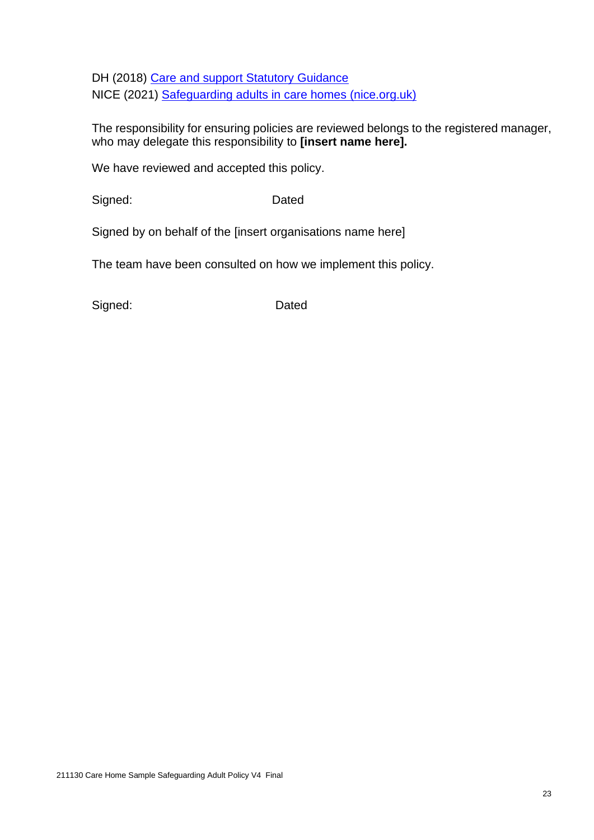DH (2018) [Care and support Statutory Guidance](https://www.gov.uk/government/publications/care-act-statutory-guidance/care-and-support-statutory-guidance) NICE (2021) [Safeguarding adults in care homes \(nice.org.uk\)](https://www.nice.org.uk/guidance/ng189/resources/safeguarding-adults-in-care-homes-pdf-66142030079941)

The responsibility for ensuring policies are reviewed belongs to the registered manager, who may delegate this responsibility to **[insert name here].** 

We have reviewed and accepted this policy.

Signed: Dated

Signed by on behalf of the [insert organisations name here]

The team have been consulted on how we implement this policy.

Signed: Dated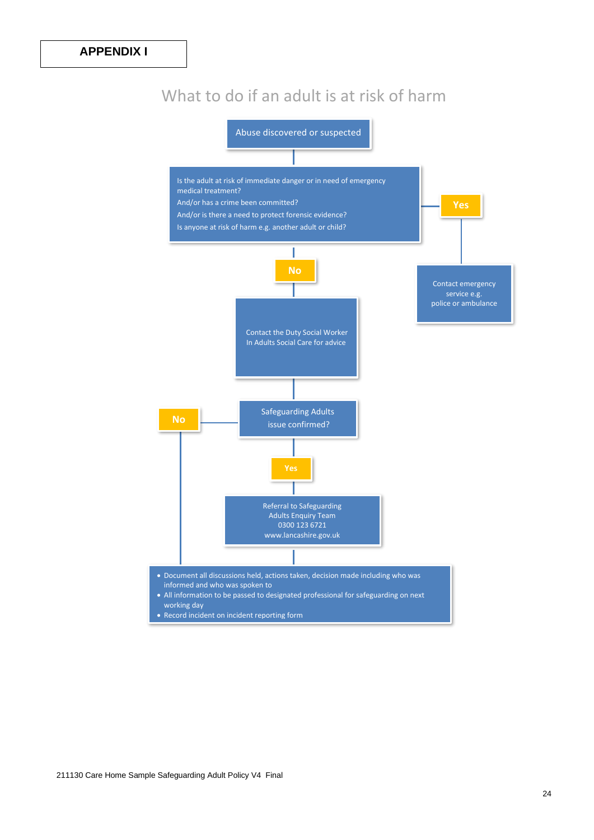## What to do if an adult is at risk of harm

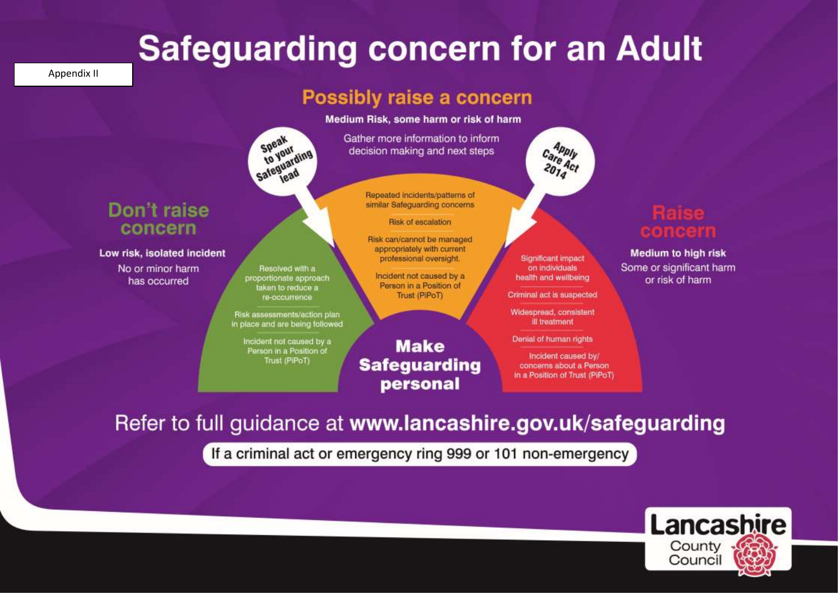# **Safeguarding concern for an Adult**

Appendix II

# Possibly raise a concern

Medium Risk, some harm or risk of harm

Gather more information to inform decision making and next steps

> Repeated incidents/patterns of similar Safeguarding concerns

#### Risk of escalation

Risk can/cannot be managed appropriately with current professional oversight.

Incident not caused by a Person in a Position of Trust (PiPoT)

**Significant impact** on individuals health and wellbeing

Apply

Care Act

Criminal act is suspected

Widespread, consistent ill treatment

Denial of human rights

Incident caused by/ concerns about a Person in a Position of Trust (PiPoT)

**Medium to high risk** Some or significant harm or risk of harm

## Don't raise concern

Low risk, isolated incident

No or minor harm has occurred

211130 Care Home Sample Safeguarding Adult Policy V4 Final

Risk assessments/action plan in place and are being followed Incident not caused by a

Speak

Speanur<br>to your

Speveur ding

Resolved with a

proportionate approach

taken to reduce a

re-occurrence

Person in a Position of Trust (PiPoT)

**Make Safeguarding** personal

Refer to full guidance at www.lancashire.gov.uk/safeguarding

If a criminal act or emergency ring 999 or 101 non-emergency

Lancashire 1 County Council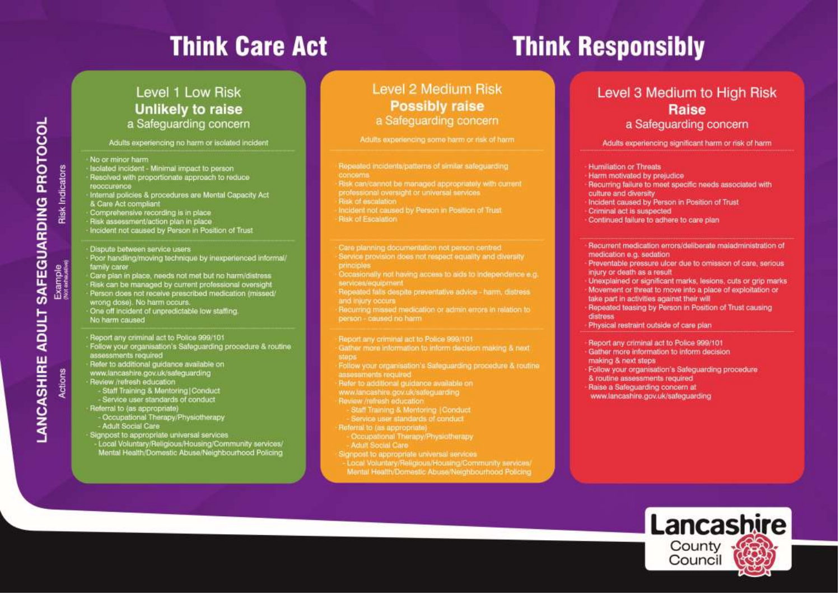# **Think Care Act**

# **Think Responsibly**

#### Level 1 Low Risk **Unlikely to raise** a Safeguarding concern

Adults experiencing no harm or isolated incident

#### No or minor harm

- Isolated incident Minimal impact to person
- Resolved with proportionate approach to reduce reaccurence
- Internal policies & procedures are Mental Capacity Act & Care Act compliant
- 
- Comprehensive recording is in place<br>Risk assessment/action plan in place
- Incident not caused by Person in Position of Trust
- Dispute between service users Poor handling/moving technique by inexperienced informal/ family carer
- Care plan in place, needs not met but no harm/distress Risk can be managed by current professional oversight<br>Person does not receive prescribed medication (missed) wrong dose). No harm occurs. One off incident of unpredictable low staffing.
- No harm caused
- Report any criminal act to Police 999/101
- Follow your organisation's Safeguarding procedure & routine assessments required<br>Refer to additional guidance available on
- 
- www.lancashire.gov.uk/safeguarding
- Review /refresh education
- Staff Training & Mentoring | Conduct<br>- Service user standards of conduct Referral to (as appropriate)
- Occupational Therapy/Physiotherapy - Adult Social Care
- Signpost to appropriate universal services<br>- Local Voluntary/Religious/Housing/Community services/ Mental Health/Domestic Abuse/Neighbourhood Policing

211130 Care Home Sample Safeguarding Adult Policy V4 Final

#### **Level 2 Medium Risk Possibly raise** a Safeguarding concern

Adults experiencing some harm or risk of harm

- Repeated incidents/patterns of similar safeguarding
- Risk can/cannot be managed appropriately with current
- professional oversight or universal services
- Risk of escalation
- Incident not caused by Person in Position of Trust.
- **Risk of Escalation**
- Care planning documentation not person centred Service provision does not respect equality and diversity
- Occasionally not having access to aids to independence e.g. services/equipment
- Repeated falls despite preventative advice harm, distress and injury occurs
- Recurring missed medication or admin errors in relation to person - caused no harm

#### Report any criminal act to Police 999/101

Gather more information to inform decision making & next

- Follow your organisation's Safeguarding procedure & routine assessments required
- Refer to additional guidance available on www.tancashire.gov.uk/safeguarding
- Review /refresh education
- Staff Training & Mentoring | Conduct
- 
- Service user standards of conduct Referral to (as appropriate)
- Occupational Therapy/Physiotherapy **Adult Social Care**
- Signpost to appropriate universal services
- Local Voluntary/Religious/Housing/Community services/ Mental Health/Domestic Abuse/Neighbourhood Policing

#### Level 3 Medium to High Risk **Raise** a Safeguarding concern

Adults experiencing significant harm or risk of harm

#### Humiliation or Threats

- Harm motivated by prejudice
- Recurring failure to meet specific needs associated with culture and diversity
- Incident caused by Person in Position of Trust
- Criminal act is suspected
- Continued failure to adhere to care plan

#### Recurrent medication errors/deliberate maladministration of medication e.g. sedation

- Preventable pressure ulcer due to omission of care, serious injury or death as a result
- Unexplained or significant marks, lesions, cuts or grip marks Movement or threat to move into a place of exploitation or
- take part in activities against their will
- Repeated teasing by Person in Position of Trust causing distress
- Physical restraint outside of care plan

#### Report any criminal act to Police 999/101

Gather more information to inform decision making & next steps Follow your organisation's Safeguarding procedure & routine assessments required Raise a Safeguarding concern at www.lancashire.gov.uk/safeguarding



ANCASHIRE ADULT SAFEGUARDING PROTOCOL **Risk Indicators** Example<br>Noted adventure Actions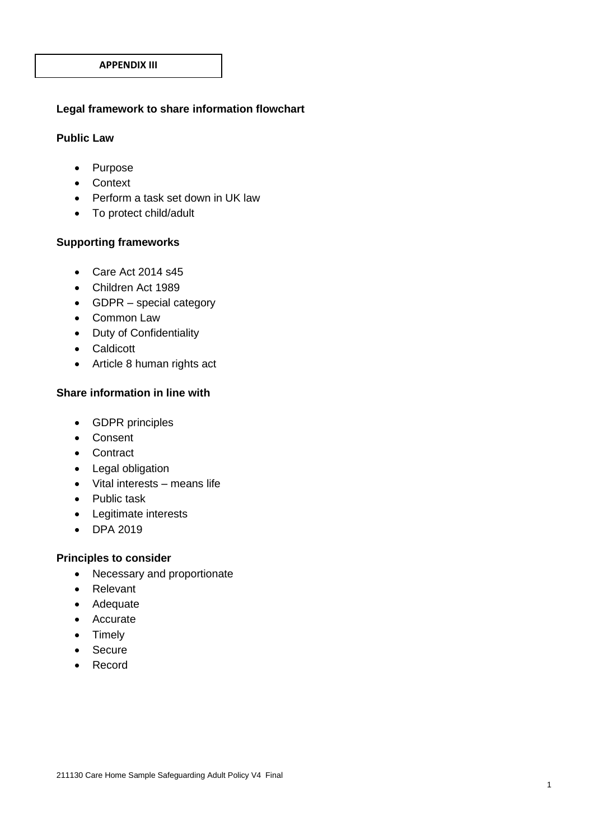#### **Legal framework to share information flowchart**

#### **Public Law**

- Purpose
- Context
- Perform a task set down in UK law
- To protect child/adult

#### **Supporting frameworks**

- Care Act 2014 s45
- Children Act 1989
- GDPR special category
- Common Law
- Duty of Confidentiality
- Caldicott
- Article 8 human rights act

#### **Share information in line with**

- GDPR principles
- Consent
- Contract
- Legal obligation
- Vital interests means life
- Public task
- Legitimate interests
- DPA 2019

#### **Principles to consider**

- Necessary and proportionate
- Relevant
- Adequate
- Accurate
- Timely
- Secure
- Record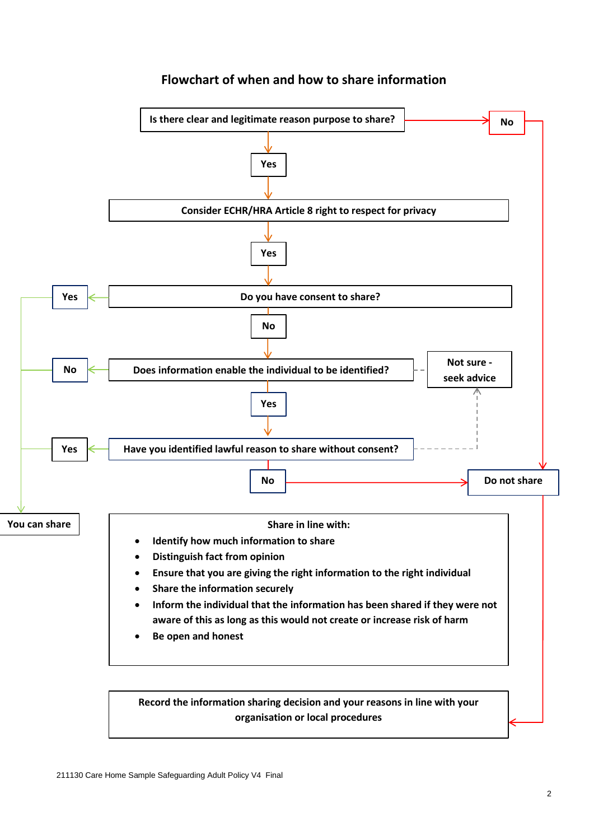

#### **Flowchart of when and how to share information**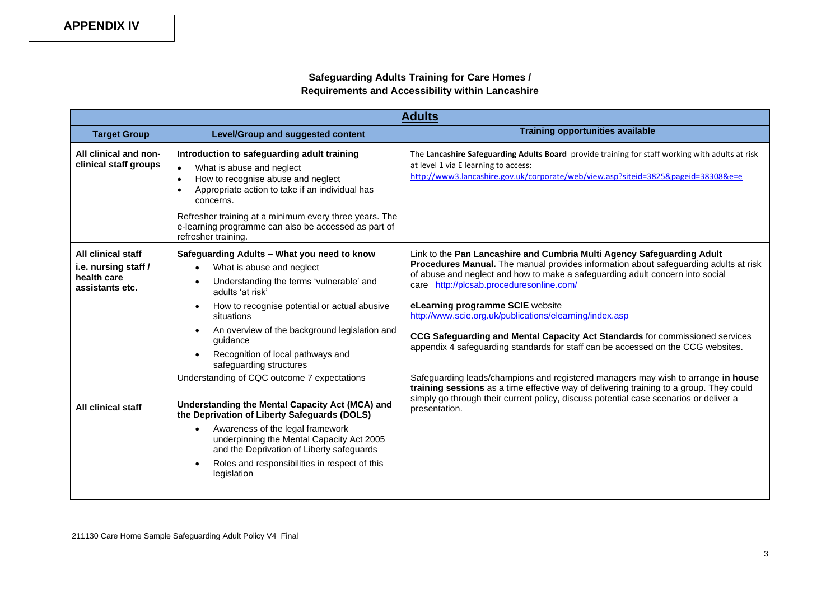#### **Safeguarding Adults Training for Care Homes / Requirements and Accessibility within Lancashire**

| <b>Adults</b>                                  |                                                                                                                                                                                                          |                                                                                                                                                                                                                              |  |
|------------------------------------------------|----------------------------------------------------------------------------------------------------------------------------------------------------------------------------------------------------------|------------------------------------------------------------------------------------------------------------------------------------------------------------------------------------------------------------------------------|--|
| <b>Target Group</b>                            | <b>Level/Group and suggested content</b>                                                                                                                                                                 | <b>Training opportunities available</b>                                                                                                                                                                                      |  |
| All clinical and non-<br>clinical staff groups | Introduction to safeguarding adult training<br>What is abuse and neglect<br>How to recognise abuse and neglect<br>$\bullet$<br>Appropriate action to take if an individual has<br>$\bullet$<br>concerns. | The Lancashire Safeguarding Adults Board provide training for staff working with adults at risk<br>at level 1 via E learning to access:<br>http://www3.lancashire.gov.uk/corporate/web/view.asp?siteid=3825&pageid=38308&e=e |  |
|                                                | Refresher training at a minimum every three years. The<br>e-learning programme can also be accessed as part of<br>refresher training.                                                                    |                                                                                                                                                                                                                              |  |
| All clinical staff                             | Safeguarding Adults - What you need to know                                                                                                                                                              | Link to the Pan Lancashire and Cumbria Multi Agency Safeguarding Adult                                                                                                                                                       |  |
| i.e. nursing staff /                           | What is abuse and neglect                                                                                                                                                                                | Procedures Manual. The manual provides information about safeguarding adults at risk<br>of abuse and neglect and how to make a safeguarding adult concern into social                                                        |  |
| health care<br>assistants etc.                 | Understanding the terms 'vulnerable' and<br>adults 'at risk'                                                                                                                                             | care http://plcsab.proceduresonline.com/                                                                                                                                                                                     |  |
|                                                | How to recognise potential or actual abusive<br>$\bullet$<br>situations                                                                                                                                  | eLearning programme SCIE website<br>http://www.scie.org.uk/publications/elearning/index.asp                                                                                                                                  |  |
|                                                | An overview of the background legislation and<br>$\bullet$<br>quidance                                                                                                                                   | CCG Safeguarding and Mental Capacity Act Standards for commissioned services<br>appendix 4 safeguarding standards for staff can be accessed on the CCG websites.                                                             |  |
|                                                | Recognition of local pathways and<br>safeguarding structures                                                                                                                                             |                                                                                                                                                                                                                              |  |
|                                                | Understanding of CQC outcome 7 expectations                                                                                                                                                              | Safeguarding leads/champions and registered managers may wish to arrange in house<br>training sessions as a time effective way of delivering training to a group. They could                                                 |  |
| All clinical staff                             | Understanding the Mental Capacity Act (MCA) and<br>the Deprivation of Liberty Safeguards (DOLS)                                                                                                          | simply go through their current policy, discuss potential case scenarios or deliver a<br>presentation.                                                                                                                       |  |
|                                                | Awareness of the legal framework<br>underpinning the Mental Capacity Act 2005<br>and the Deprivation of Liberty safeguards                                                                               |                                                                                                                                                                                                                              |  |
|                                                | Roles and responsibilities in respect of this<br>legislation                                                                                                                                             |                                                                                                                                                                                                                              |  |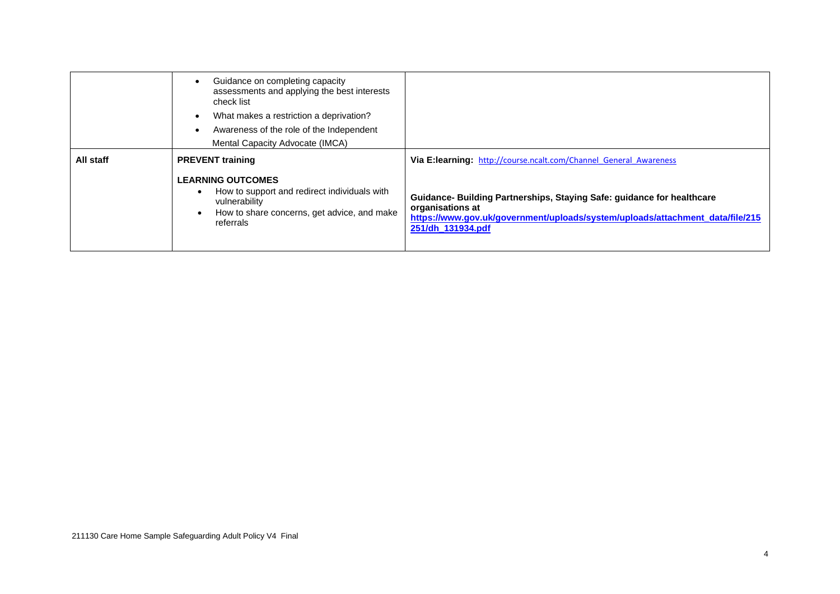|           | Guidance on completing capacity<br>assessments and applying the best interests<br>check list<br>What makes a restriction a deprivation?<br>$\bullet$<br>Awareness of the role of the Independent<br>$\bullet$<br>Mental Capacity Advocate (IMCA) |                                                                                                                                                                                                  |
|-----------|--------------------------------------------------------------------------------------------------------------------------------------------------------------------------------------------------------------------------------------------------|--------------------------------------------------------------------------------------------------------------------------------------------------------------------------------------------------|
| All staff | <b>PREVENT</b> training                                                                                                                                                                                                                          | <b>Via E:learning:</b> http://course.ncalt.com/Channel General Awareness                                                                                                                         |
|           | <b>LEARNING OUTCOMES</b><br>How to support and redirect individuals with<br>vulnerability<br>How to share concerns, get advice, and make<br>referrals                                                                                            | Guidance- Building Partnerships, Staying Safe: guidance for healthcare<br>organisations at<br>https://www.gov.uk/government/uploads/system/uploads/attachment_data/file/215<br>251/dh_131934.pdf |